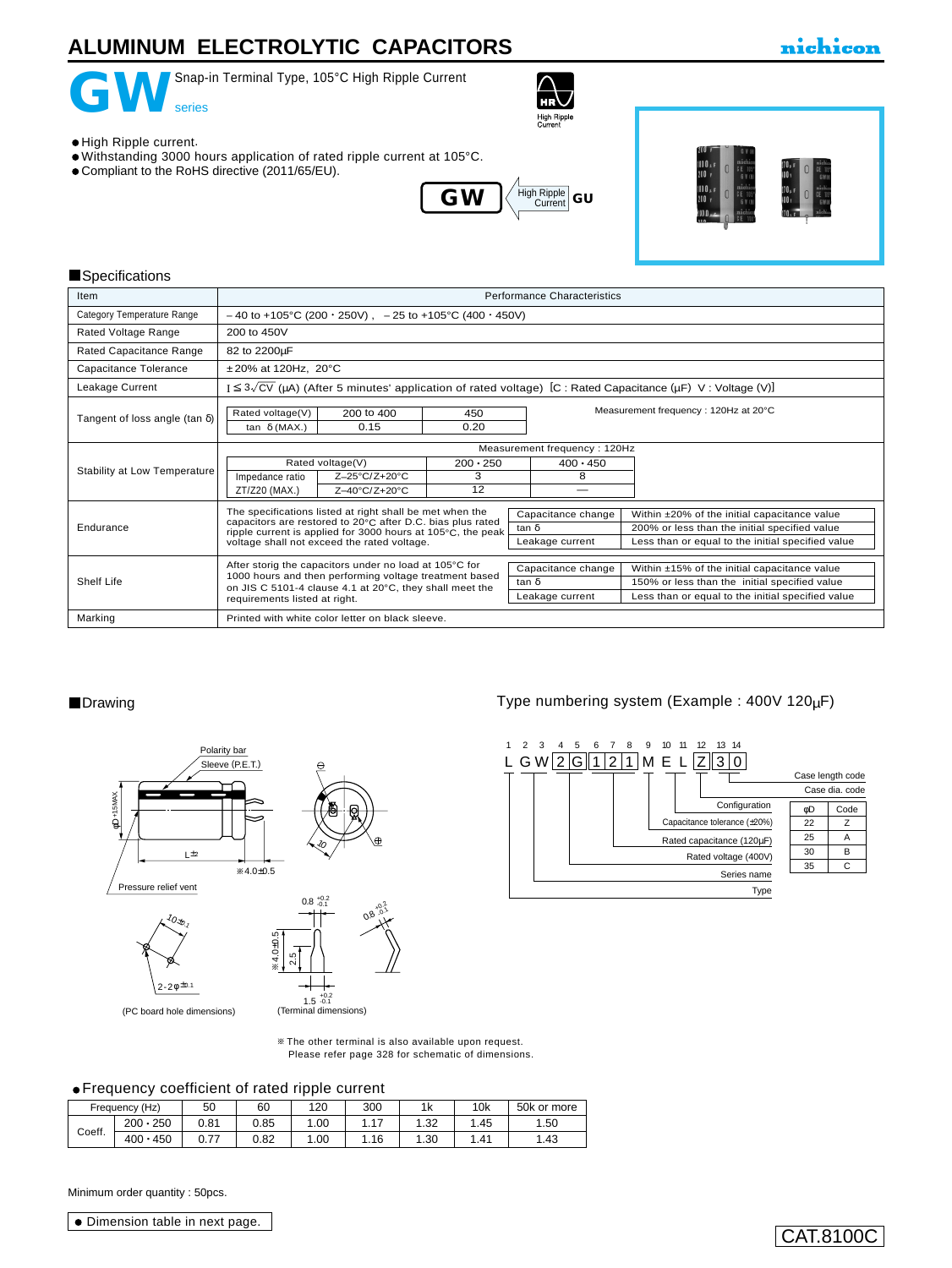## **ALUMINUM ELECTROLYTIC CAPACITORS**



Snap-in Terminal Type, 105°C High Ripple Current



### nichicon

High Ripple current.

- Withstanding 3000 hours application of rated ripple current at 105°C.
- Compliant to the RoHS directive (2011/65/EU).





#### **Specifications**

| Item                                  | <b>Performance Characteristics</b>                                                                                        |                 |                                    |                                                                                               |  |  |
|---------------------------------------|---------------------------------------------------------------------------------------------------------------------------|-----------------|------------------------------------|-----------------------------------------------------------------------------------------------|--|--|
| Category Temperature Range            | $-40$ to +105°C (200 $\cdot$ 250V), $-25$ to +105°C (400 $\cdot$ 450V)                                                    |                 |                                    |                                                                                               |  |  |
| Rated Voltage Range                   | 200 to 450V                                                                                                               |                 |                                    |                                                                                               |  |  |
| Rated Capacitance Range               | 82 to 2200µF                                                                                                              |                 |                                    |                                                                                               |  |  |
| Capacitance Tolerance                 | $±20\%$ at 120Hz, 20 $°C$                                                                                                 |                 |                                    |                                                                                               |  |  |
| Leakage Current                       | $I \leq 3\sqrt{CV}$ (µA) (After 5 minutes' application of rated voltage) [C : Rated Capacitance (µF) V : Voltage (V)]     |                 |                                    |                                                                                               |  |  |
| Tangent of loss angle (tan $\delta$ ) | Measurement frequency: 120Hz at 20°C<br>Rated voltage(V)<br>200 to 400<br>450<br>0.20<br>0.15<br>tan $\delta$ (MAX.)      |                 |                                    |                                                                                               |  |  |
|                                       | Measurement frequency: 120Hz                                                                                              |                 |                                    |                                                                                               |  |  |
| Stability at Low Temperature          | Rated voltage(V)                                                                                                          | $200 \cdot 250$ | $400 \cdot 450$                    |                                                                                               |  |  |
|                                       | Impedance ratio<br>Z-25°C/Z+20°C                                                                                          | 3               | 8                                  |                                                                                               |  |  |
|                                       | ZT/Z20 (MAX.)<br>Z-40°C/Z+20°C                                                                                            | 12              |                                    |                                                                                               |  |  |
|                                       | The specifications listed at right shall be met when the                                                                  |                 | Capacitance change                 | Within ±20% of the initial capacitance value                                                  |  |  |
| Endurance                             | capacitors are restored to 20°C after D.C. bias plus rated<br>ripple current is applied for 3000 hours at 105°C, the peak |                 | tan $\delta$                       | 200% or less than the initial specified value                                                 |  |  |
|                                       | voltage shall not exceed the rated voltage.                                                                               |                 | Leakage current                    | Less than or equal to the initial specified value                                             |  |  |
|                                       | After storig the capacitors under no load at 105°C for                                                                    |                 |                                    |                                                                                               |  |  |
| Shelf Life                            | 1000 hours and then performing voltage treatment based                                                                    |                 | Capacitance change<br>$tan \delta$ | Within ±15% of the initial capacitance value<br>150% or less than the initial specified value |  |  |
|                                       | on JIS C 5101-4 clause 4.1 at 20°C, they shall meet the                                                                   |                 |                                    |                                                                                               |  |  |
|                                       | requirements listed at right.                                                                                             |                 | Leakage current                    | Less than or equal to the initial specified value                                             |  |  |
| Marking                               | Printed with white color letter on black sleeve.                                                                          |                 |                                    |                                                                                               |  |  |

#### ■Drawing Type numbering system (Example : 400V 120µF)





The other terminal is also available upon request. [Please refer page 328 for schematic of dimensions.](e-term01.pdf)

#### Frequency coefficient of rated ripple current

|        | Frequency (Hz)  | 50                | 60   | 120  | 300     | 1k    | 10k     | 50k or more |
|--------|-----------------|-------------------|------|------|---------|-------|---------|-------------|
| Coeff. | $200 \cdot 250$ | 0.81              | 0.85 | .00  | 17<br>. | 1.32  | . 45. ، | 1.50        |
|        | $400 \cdot 450$ | 77<br><b>v.ii</b> | 0.82 | 1.00 | l.16    | . .30 | . 41    | . 43        |

Minimum order quantity : 50pcs.

Dimension table in next page.